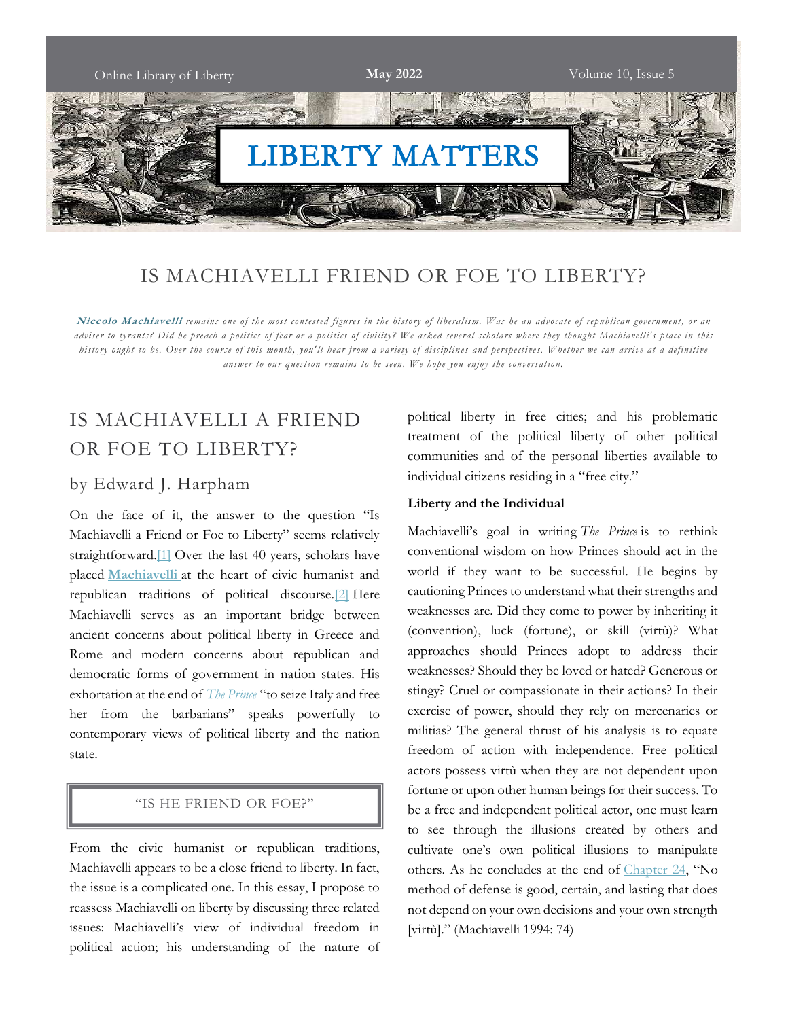

## IS MACHIAVELLI FRIEND OR FOE TO LIBERTY?

Niccolo Machiavelli remains one of the most contested figures in the history of liberalism. Was he an advocate of republican government, or an adviser to tyrants? Did he preach a politics of fear or a politics of civility? We asked several scholars where they thought Machiavelli's place in this history ought to be. Over the course of this month, you'll hear from a variety of disciplines and perspectives. Whether we can arrive at a definitive answer to our question remains to be seen. We hope you enjoy the conversation.

## IS MACHIAVELLI A FRIEND OR FOE TO LIBERTY?

#### by Edward J. Harpham

On the face of it, the answer to the question "Is Machiavelli a Friend or Foe to Liberty" seems relatively straightforward.[1] Over the last 40 years, scholars have placed Machiavelli at the heart of civic humanist and republican traditions of political discourse.[2] Here Machiavelli serves as an important bridge between ancient concerns about political liberty in Greece and Rome and modern concerns about republican and democratic forms of government in nation states. His exhortation at the end of *The Prince* "to seize Italy and free her from the barbarians" speaks powerfully to contemporary views of political liberty and the nation state.

#### "IS HE FRIEND OR FOE?"

From the civic humanist or republican traditions, Machiavelli appears to be a close friend to liberty. In fact, the issue is a complicated one. In this essay, I propose to reassess Machiavelli on liberty by discussing three related issues: Machiavelli's view of individual freedom in political action; his understanding of the nature of political liberty in free cities; and his problematic treatment of the political liberty of other political communities and of the personal liberties available to individual citizens residing in a "free city."

#### Liberty and the Individual

Machiavelli's goal in writing The Prince is to rethink conventional wisdom on how Princes should act in the world if they want to be successful. He begins by cautioning Princes to understand what their strengths and weaknesses are. Did they come to power by inheriting it (convention), luck (fortune), or skill (virtù)? What approaches should Princes adopt to address their weaknesses? Should they be loved or hated? Generous or stingy? Cruel or compassionate in their actions? In their exercise of power, should they rely on mercenaries or militias? The general thrust of his analysis is to equate freedom of action with independence. Free political actors possess virtù when they are not dependent upon fortune or upon other human beings for their success. To be a free and independent political actor, one must learn to see through the illusions created by others and cultivate one's own political illusions to manipulate others. As he concludes at the end of Chapter 24, "No method of defense is good, certain, and lasting that does not depend on your own decisions and your own strength [virtù]." (Machiavelli 1994: 74)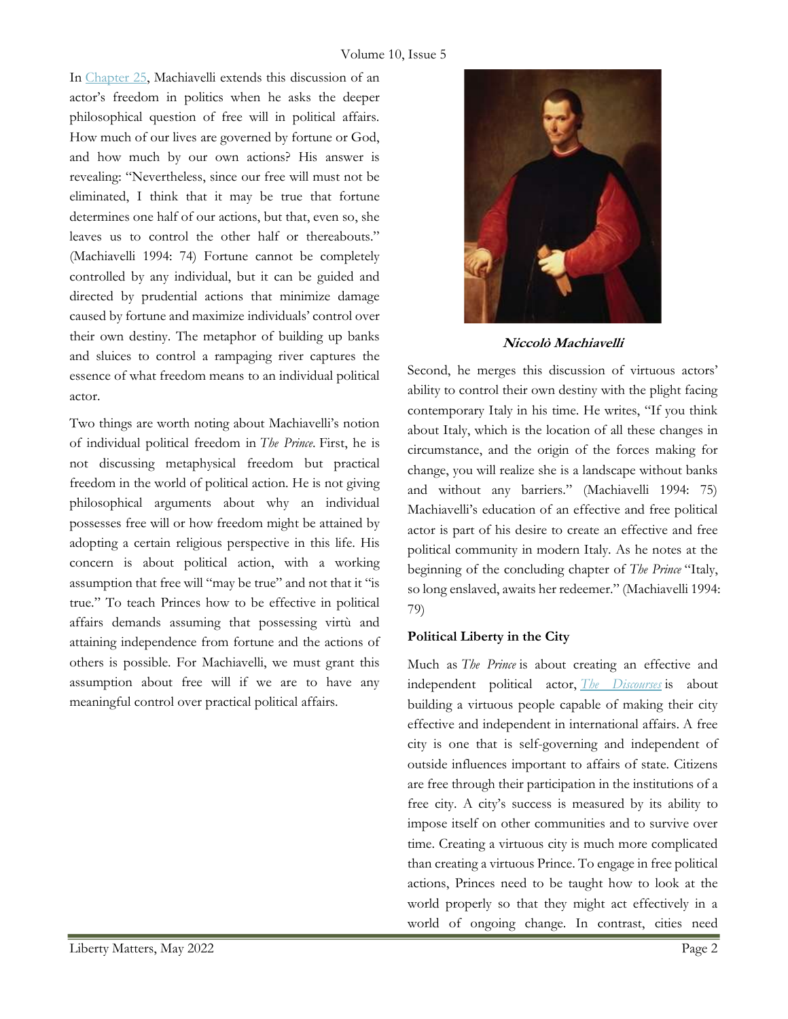In Chapter 25, Machiavelli extends this discussion of an actor's freedom in politics when he asks the deeper philosophical question of free will in political affairs. How much of our lives are governed by fortune or God, and how much by our own actions? His answer is revealing: "Nevertheless, since our free will must not be eliminated, I think that it may be true that fortune determines one half of our actions, but that, even so, she leaves us to control the other half or thereabouts." (Machiavelli 1994: 74) Fortune cannot be completely controlled by any individual, but it can be guided and directed by prudential actions that minimize damage caused by fortune and maximize individuals' control over their own destiny. The metaphor of building up banks and sluices to control a rampaging river captures the essence of what freedom means to an individual political actor.

Two things are worth noting about Machiavelli's notion of individual political freedom in The Prince. First, he is not discussing metaphysical freedom but practical freedom in the world of political action. He is not giving philosophical arguments about why an individual possesses free will or how freedom might be attained by adopting a certain religious perspective in this life. His concern is about political action, with a working assumption that free will "may be true" and not that it "is true." To teach Princes how to be effective in political affairs demands assuming that possessing virtù and attaining independence from fortune and the actions of others is possible. For Machiavelli, we must grant this assumption about free will if we are to have any meaningful control over practical political affairs.



Niccolò Machiavelli

Second, he merges this discussion of virtuous actors' ability to control their own destiny with the plight facing contemporary Italy in his time. He writes, "If you think about Italy, which is the location of all these changes in circumstance, and the origin of the forces making for change, you will realize she is a landscape without banks and without any barriers." (Machiavelli 1994: 75) Machiavelli's education of an effective and free political actor is part of his desire to create an effective and free political community in modern Italy. As he notes at the beginning of the concluding chapter of *The Prince* "Italy, so long enslaved, awaits her redeemer." (Machiavelli 1994: 79)

#### Political Liberty in the City

Much as The Prince is about creating an effective and independent political actor, The Discourses is about building a virtuous people capable of making their city effective and independent in international affairs. A free city is one that is self-governing and independent of outside influences important to affairs of state. Citizens are free through their participation in the institutions of a free city. A city's success is measured by its ability to impose itself on other communities and to survive over time. Creating a virtuous city is much more complicated than creating a virtuous Prince. To engage in free political actions, Princes need to be taught how to look at the world properly so that they might act effectively in a world of ongoing change. In contrast, cities need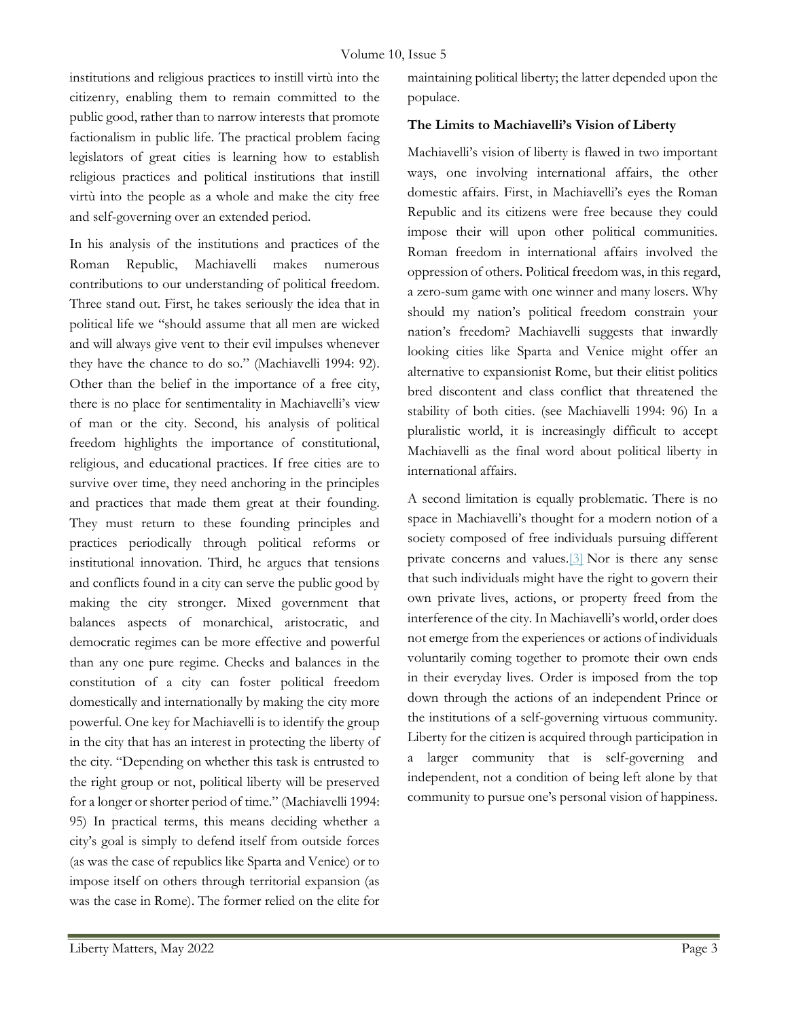institutions and religious practices to instill virtù into the citizenry, enabling them to remain committed to the public good, rather than to narrow interests that promote factionalism in public life. The practical problem facing legislators of great cities is learning how to establish religious practices and political institutions that instill virtù into the people as a whole and make the city free and self-governing over an extended period.

In his analysis of the institutions and practices of the Roman Republic, Machiavelli makes numerous contributions to our understanding of political freedom. Three stand out. First, he takes seriously the idea that in political life we "should assume that all men are wicked and will always give vent to their evil impulses whenever they have the chance to do so." (Machiavelli 1994: 92). Other than the belief in the importance of a free city, there is no place for sentimentality in Machiavelli's view of man or the city. Second, his analysis of political freedom highlights the importance of constitutional, religious, and educational practices. If free cities are to survive over time, they need anchoring in the principles and practices that made them great at their founding. They must return to these founding principles and practices periodically through political reforms or institutional innovation. Third, he argues that tensions and conflicts found in a city can serve the public good by making the city stronger. Mixed government that balances aspects of monarchical, aristocratic, and democratic regimes can be more effective and powerful than any one pure regime. Checks and balances in the constitution of a city can foster political freedom domestically and internationally by making the city more powerful. One key for Machiavelli is to identify the group in the city that has an interest in protecting the liberty of the city. "Depending on whether this task is entrusted to the right group or not, political liberty will be preserved for a longer or shorter period of time." (Machiavelli 1994: 95) In practical terms, this means deciding whether a city's goal is simply to defend itself from outside forces (as was the case of republics like Sparta and Venice) or to impose itself on others through territorial expansion (as was the case in Rome). The former relied on the elite for

maintaining political liberty; the latter depended upon the populace.

#### The Limits to Machiavelli's Vision of Liberty

Machiavelli's vision of liberty is flawed in two important ways, one involving international affairs, the other domestic affairs. First, in Machiavelli's eyes the Roman Republic and its citizens were free because they could impose their will upon other political communities. Roman freedom in international affairs involved the oppression of others. Political freedom was, in this regard, a zero-sum game with one winner and many losers. Why should my nation's political freedom constrain your nation's freedom? Machiavelli suggests that inwardly looking cities like Sparta and Venice might offer an alternative to expansionist Rome, but their elitist politics bred discontent and class conflict that threatened the stability of both cities. (see Machiavelli 1994: 96) In a pluralistic world, it is increasingly difficult to accept Machiavelli as the final word about political liberty in international affairs.

A second limitation is equally problematic. There is no space in Machiavelli's thought for a modern notion of a society composed of free individuals pursuing different private concerns and values.[3] Nor is there any sense that such individuals might have the right to govern their own private lives, actions, or property freed from the interference of the city. In Machiavelli's world, order does not emerge from the experiences or actions of individuals voluntarily coming together to promote their own ends in their everyday lives. Order is imposed from the top down through the actions of an independent Prince or the institutions of a self-governing virtuous community. Liberty for the citizen is acquired through participation in a larger community that is self-governing and independent, not a condition of being left alone by that community to pursue one's personal vision of happiness.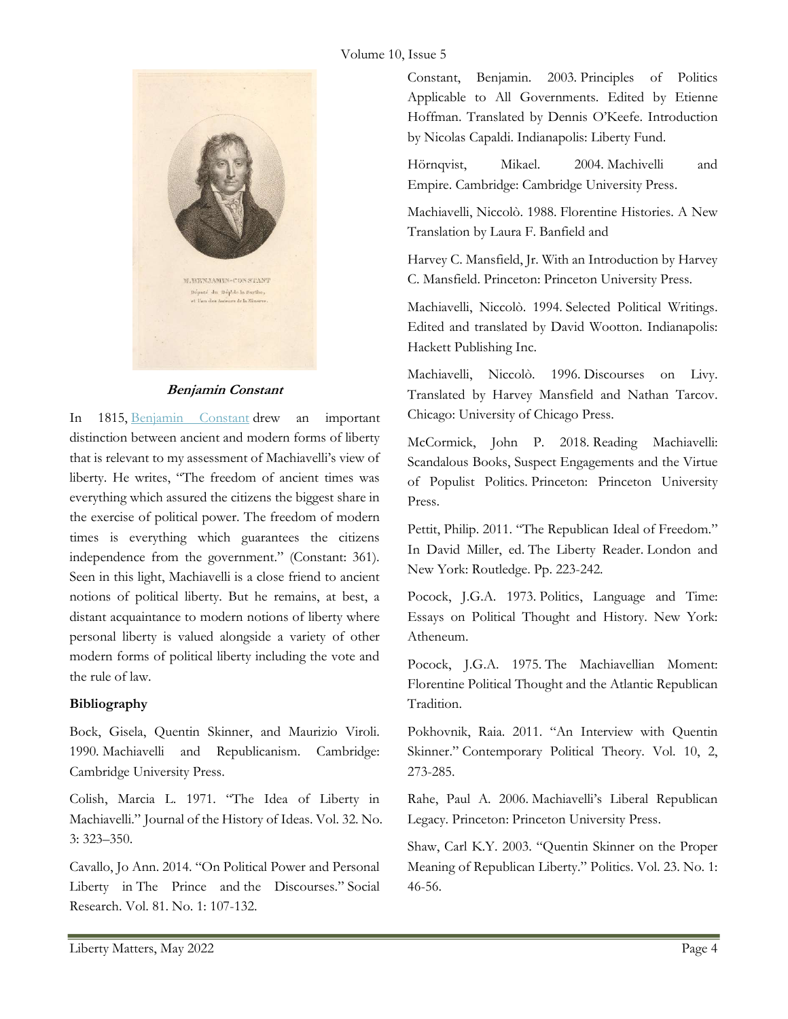#### Volume 10, Issue 5



#### Benjamin Constant

In 1815, Benjamin Constant drew an important distinction between ancient and modern forms of liberty that is relevant to my assessment of Machiavelli's view of liberty. He writes, "The freedom of ancient times was everything which assured the citizens the biggest share in the exercise of political power. The freedom of modern times is everything which guarantees the citizens independence from the government." (Constant: 361). Seen in this light, Machiavelli is a close friend to ancient notions of political liberty. But he remains, at best, a distant acquaintance to modern notions of liberty where personal liberty is valued alongside a variety of other modern forms of political liberty including the vote and the rule of law.

#### Bibliography

Bock, Gisela, Quentin Skinner, and Maurizio Viroli. 1990. Machiavelli and Republicanism. Cambridge: Cambridge University Press.

Colish, Marcia L. 1971. "The Idea of Liberty in Machiavelli." Journal of the History of Ideas. Vol. 32. No. 3: 323–350.

Cavallo, Jo Ann. 2014. "On Political Power and Personal Liberty in The Prince and the Discourses." Social Research. Vol. 81. No. 1: 107-132.

Constant, Benjamin. 2003. Principles of Politics Applicable to All Governments. Edited by Etienne Hoffman. Translated by Dennis O'Keefe. Introduction by Nicolas Capaldi. Indianapolis: Liberty Fund.

Hörnqvist, Mikael. 2004. Machivelli and Empire. Cambridge: Cambridge University Press.

Machiavelli, Niccolò. 1988. Florentine Histories. A New Translation by Laura F. Banfield and

Harvey C. Mansfield, Jr. With an Introduction by Harvey C. Mansfield. Princeton: Princeton University Press.

Machiavelli, Niccolò. 1994. Selected Political Writings. Edited and translated by David Wootton. Indianapolis: Hackett Publishing Inc.

Machiavelli, Niccolò. 1996. Discourses on Livy. Translated by Harvey Mansfield and Nathan Tarcov. Chicago: University of Chicago Press.

McCormick, John P. 2018. Reading Machiavelli: Scandalous Books, Suspect Engagements and the Virtue of Populist Politics. Princeton: Princeton University Press.

Pettit, Philip. 2011. "The Republican Ideal of Freedom." In David Miller, ed. The Liberty Reader. London and New York: Routledge. Pp. 223-242.

Pocock, J.G.A. 1973. Politics, Language and Time: Essays on Political Thought and History. New York: Atheneum.

Pocock, J.G.A. 1975. The Machiavellian Moment: Florentine Political Thought and the Atlantic Republican Tradition.

Pokhovnik, Raia. 2011. "An Interview with Quentin Skinner." Contemporary Political Theory. Vol. 10, 2, 273-285.

Rahe, Paul A. 2006. Machiavelli's Liberal Republican Legacy. Princeton: Princeton University Press.

Shaw, Carl K.Y. 2003. "Quentin Skinner on the Proper Meaning of Republican Liberty." Politics. Vol. 23. No. 1: 46-56.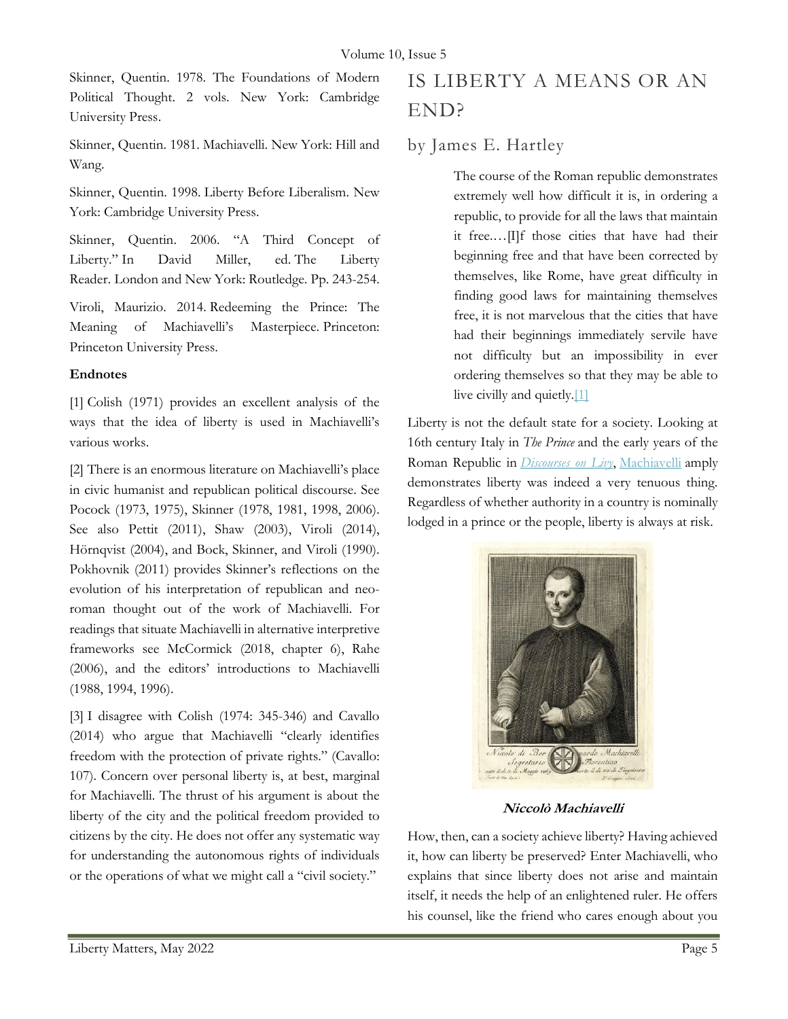Skinner, Quentin. 1978. The Foundations of Modern Political Thought. 2 vols. New York: Cambridge University Press.

Skinner, Quentin. 1981. Machiavelli. New York: Hill and Wang.

Skinner, Quentin. 1998. Liberty Before Liberalism. New York: Cambridge University Press.

Skinner, Quentin. 2006. "A Third Concept of Liberty." In David Miller, ed. The Liberty Reader. London and New York: Routledge. Pp. 243-254.

Viroli, Maurizio. 2014. Redeeming the Prince: The Meaning of Machiavelli's Masterpiece. Princeton: Princeton University Press.

#### Endnotes

[1] Colish (1971) provides an excellent analysis of the ways that the idea of liberty is used in Machiavelli's various works.

[2] There is an enormous literature on Machiavelli's place in civic humanist and republican political discourse. See Pocock (1973, 1975), Skinner (1978, 1981, 1998, 2006). See also Pettit (2011), Shaw (2003), Viroli (2014), Hörnqvist (2004), and Bock, Skinner, and Viroli (1990). Pokhovnik (2011) provides Skinner's reflections on the evolution of his interpretation of republican and neoroman thought out of the work of Machiavelli. For readings that situate Machiavelli in alternative interpretive frameworks see McCormick (2018, chapter 6), Rahe (2006), and the editors' introductions to Machiavelli (1988, 1994, 1996).

[3] I disagree with Colish (1974: 345-346) and Cavallo (2014) who argue that Machiavelli "clearly identifies freedom with the protection of private rights." (Cavallo: 107). Concern over personal liberty is, at best, marginal for Machiavelli. The thrust of his argument is about the liberty of the city and the political freedom provided to citizens by the city. He does not offer any systematic way for understanding the autonomous rights of individuals or the operations of what we might call a "civil society."

## IS LIBERTY A MEANS OR AN END?

### by James E. Hartley

The course of the Roman republic demonstrates extremely well how difficult it is, in ordering a republic, to provide for all the laws that maintain it free.…[I]f those cities that have had their beginning free and that have been corrected by themselves, like Rome, have great difficulty in finding good laws for maintaining themselves free, it is not marvelous that the cities that have had their beginnings immediately servile have not difficulty but an impossibility in ever ordering themselves so that they may be able to live civilly and quietly.[1]

Liberty is not the default state for a society. Looking at 16th century Italy in *The Prince* and the early years of the Roman Republic in *Discourses on Livy*, Machiavelli amply demonstrates liberty was indeed a very tenuous thing. Regardless of whether authority in a country is nominally lodged in a prince or the people, liberty is always at risk.



Niccolò Machiavelli

How, then, can a society achieve liberty? Having achieved it, how can liberty be preserved? Enter Machiavelli, who explains that since liberty does not arise and maintain itself, it needs the help of an enlightened ruler. He offers his counsel, like the friend who cares enough about you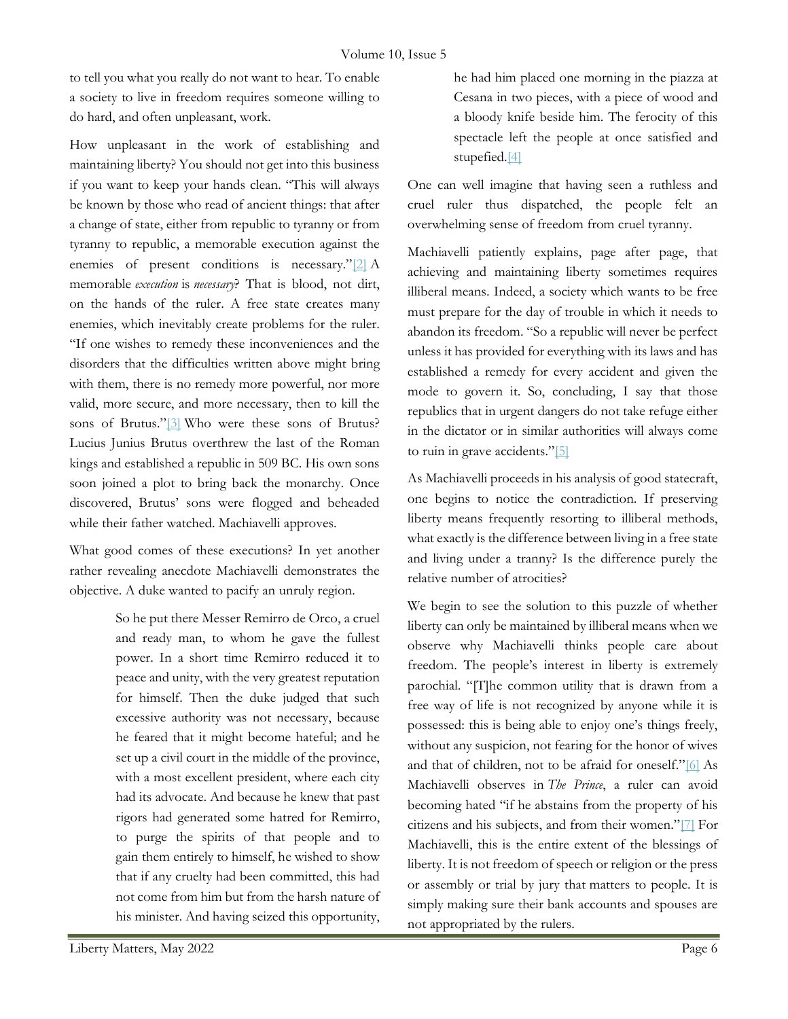to tell you what you really do not want to hear. To enable a society to live in freedom requires someone willing to do hard, and often unpleasant, work.

How unpleasant in the work of establishing and maintaining liberty? You should not get into this business if you want to keep your hands clean. "This will always be known by those who read of ancient things: that after a change of state, either from republic to tyranny or from tyranny to republic, a memorable execution against the enemies of present conditions is necessary."[2] A memorable *execution* is *necessary*? That is blood, not dirt, on the hands of the ruler. A free state creates many enemies, which inevitably create problems for the ruler. "If one wishes to remedy these inconveniences and the disorders that the difficulties written above might bring with them, there is no remedy more powerful, nor more valid, more secure, and more necessary, then to kill the sons of Brutus."<sup>[3]</sup> Who were these sons of Brutus? Lucius Junius Brutus overthrew the last of the Roman kings and established a republic in 509 BC. His own sons soon joined a plot to bring back the monarchy. Once discovered, Brutus' sons were flogged and beheaded while their father watched. Machiavelli approves.

What good comes of these executions? In yet another rather revealing anecdote Machiavelli demonstrates the objective. A duke wanted to pacify an unruly region.

> So he put there Messer Remirro de Orco, a cruel and ready man, to whom he gave the fullest power. In a short time Remirro reduced it to peace and unity, with the very greatest reputation for himself. Then the duke judged that such excessive authority was not necessary, because he feared that it might become hateful; and he set up a civil court in the middle of the province, with a most excellent president, where each city had its advocate. And because he knew that past rigors had generated some hatred for Remirro, to purge the spirits of that people and to gain them entirely to himself, he wished to show that if any cruelty had been committed, this had not come from him but from the harsh nature of his minister. And having seized this opportunity,

One can well imagine that having seen a ruthless and cruel ruler thus dispatched, the people felt an overwhelming sense of freedom from cruel tyranny.

Machiavelli patiently explains, page after page, that achieving and maintaining liberty sometimes requires illiberal means. Indeed, a society which wants to be free must prepare for the day of trouble in which it needs to abandon its freedom. "So a republic will never be perfect unless it has provided for everything with its laws and has established a remedy for every accident and given the mode to govern it. So, concluding, I say that those republics that in urgent dangers do not take refuge either in the dictator or in similar authorities will always come to ruin in grave accidents."[5]

As Machiavelli proceeds in his analysis of good statecraft, one begins to notice the contradiction. If preserving liberty means frequently resorting to illiberal methods, what exactly is the difference between living in a free state and living under a tranny? Is the difference purely the relative number of atrocities?

We begin to see the solution to this puzzle of whether liberty can only be maintained by illiberal means when we observe why Machiavelli thinks people care about freedom. The people's interest in liberty is extremely parochial. "[T]he common utility that is drawn from a free way of life is not recognized by anyone while it is possessed: this is being able to enjoy one's things freely, without any suspicion, not fearing for the honor of wives and that of children, not to be afraid for oneself."[6] As Machiavelli observes in The Prince, a ruler can avoid becoming hated "if he abstains from the property of his citizens and his subjects, and from their women."[7] For Machiavelli, this is the entire extent of the blessings of liberty. It is not freedom of speech or religion or the press or assembly or trial by jury that matters to people. It is simply making sure their bank accounts and spouses are not appropriated by the rulers.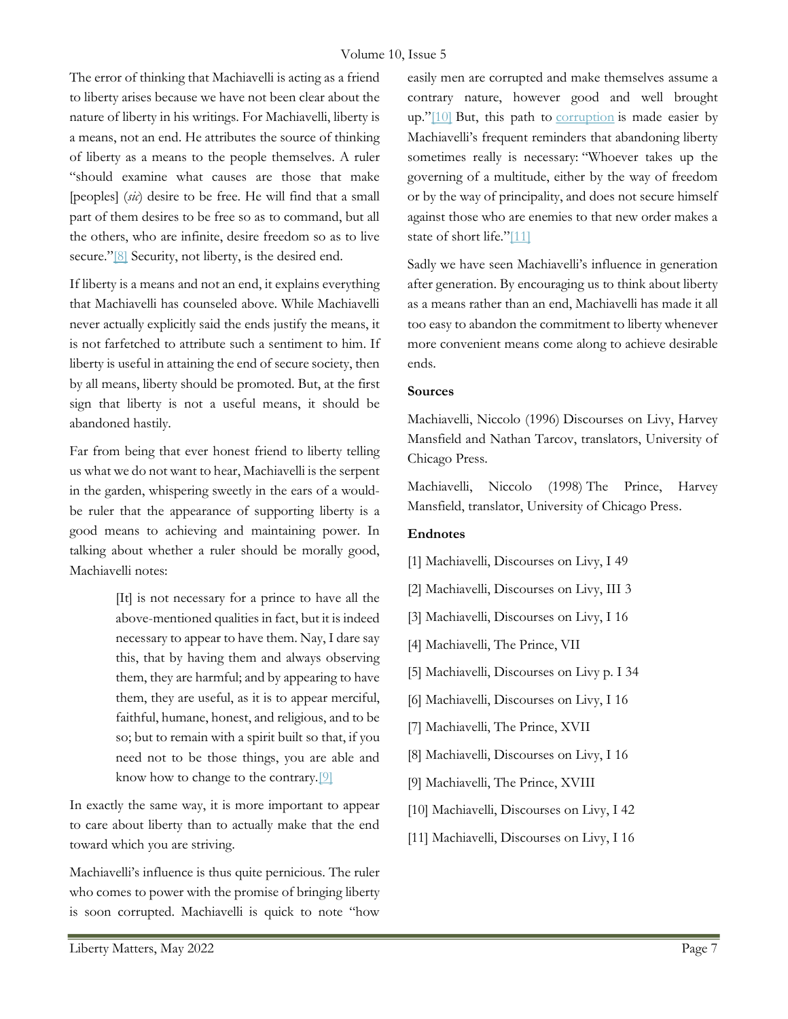The error of thinking that Machiavelli is acting as a friend to liberty arises because we have not been clear about the nature of liberty in his writings. For Machiavelli, liberty is a means, not an end. He attributes the source of thinking of liberty as a means to the people themselves. A ruler "should examine what causes are those that make [peoples] (sic) desire to be free. He will find that a small part of them desires to be free so as to command, but all the others, who are infinite, desire freedom so as to live secure."<sup>[8]</sup> Security, not liberty, is the desired end.

If liberty is a means and not an end, it explains everything that Machiavelli has counseled above. While Machiavelli never actually explicitly said the ends justify the means, it is not farfetched to attribute such a sentiment to him. If liberty is useful in attaining the end of secure society, then by all means, liberty should be promoted. But, at the first sign that liberty is not a useful means, it should be abandoned hastily.

Far from being that ever honest friend to liberty telling us what we do not want to hear, Machiavelli is the serpent in the garden, whispering sweetly in the ears of a wouldbe ruler that the appearance of supporting liberty is a good means to achieving and maintaining power. In talking about whether a ruler should be morally good, Machiavelli notes:

> [It] is not necessary for a prince to have all the above-mentioned qualities in fact, but it is indeed necessary to appear to have them. Nay, I dare say this, that by having them and always observing them, they are harmful; and by appearing to have them, they are useful, as it is to appear merciful, faithful, humane, honest, and religious, and to be so; but to remain with a spirit built so that, if you need not to be those things, you are able and know how to change to the contrary.[9]

In exactly the same way, it is more important to appear to care about liberty than to actually make that the end toward which you are striving.

Machiavelli's influence is thus quite pernicious. The ruler who comes to power with the promise of bringing liberty is soon corrupted. Machiavelli is quick to note "how

easily men are corrupted and make themselves assume a contrary nature, however good and well brought up."[10] But, this path to corruption is made easier by Machiavelli's frequent reminders that abandoning liberty sometimes really is necessary: "Whoever takes up the governing of a multitude, either by the way of freedom or by the way of principality, and does not secure himself against those who are enemies to that new order makes a state of short life."[11]

Sadly we have seen Machiavelli's influence in generation after generation. By encouraging us to think about liberty as a means rather than an end, Machiavelli has made it all too easy to abandon the commitment to liberty whenever more convenient means come along to achieve desirable ends.

#### Sources

Machiavelli, Niccolo (1996) Discourses on Livy, Harvey Mansfield and Nathan Tarcov, translators, University of Chicago Press.

Machiavelli, Niccolo (1998) The Prince, Harvey Mansfield, translator, University of Chicago Press.

#### Endnotes

- [1] Machiavelli, Discourses on Livy, I 49
- [2] Machiavelli, Discourses on Livy, III 3
- [3] Machiavelli, Discourses on Livy, I 16
- [4] Machiavelli, The Prince, VII
- [5] Machiavelli, Discourses on Livy p. I 34
- [6] Machiavelli, Discourses on Livy, I 16
- [7] Machiavelli, The Prince, XVII
- [8] Machiavelli, Discourses on Livy, I 16
- [9] Machiavelli, The Prince, XVIII
- [10] Machiavelli, Discourses on Livy, I 42
- [11] Machiavelli, Discourses on Livy, I 16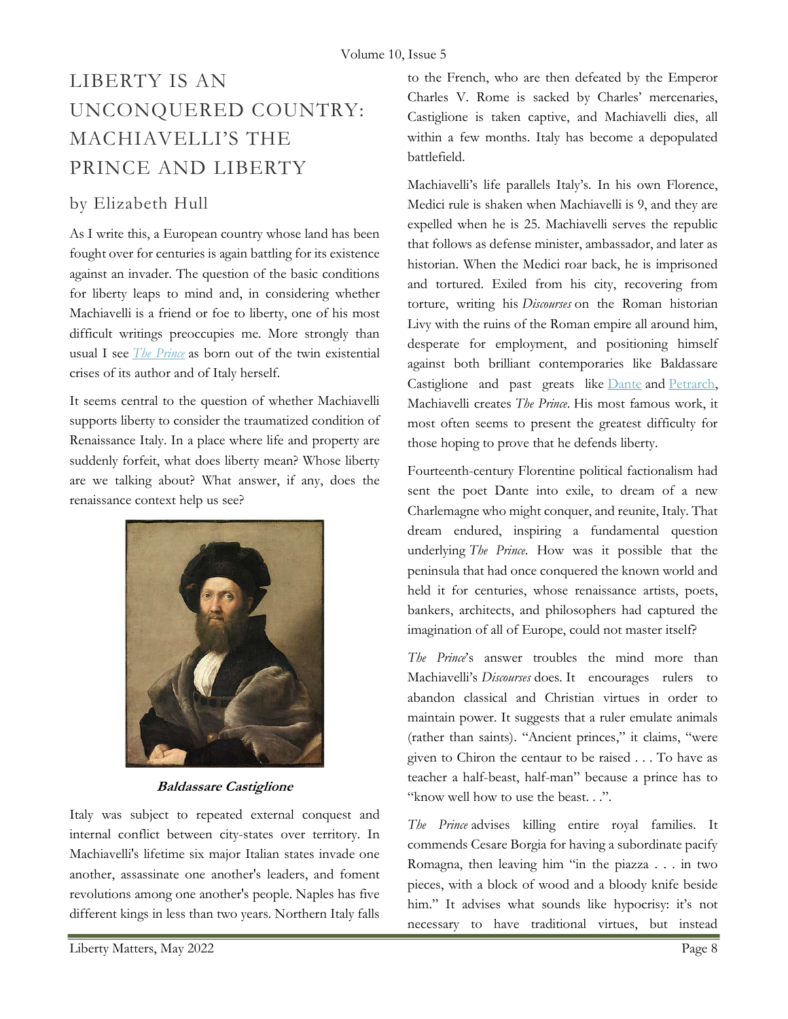# LIBERTY IS AN UNCONQUERED COUNTRY: MACHIAVELLI'S THE PRINCE AND LIBERTY

### by Elizabeth Hull

As I write this, a European country whose land has been fought over for centuries is again battling for its existence against an invader. The question of the basic conditions for liberty leaps to mind and, in considering whether Machiavelli is a friend or foe to liberty, one of his most difficult writings preoccupies me. More strongly than usual I see *The Prince* as born out of the twin existential crises of its author and of Italy herself.

It seems central to the question of whether Machiavelli supports liberty to consider the traumatized condition of Renaissance Italy. In a place where life and property are suddenly forfeit, what does liberty mean? Whose liberty are we talking about? What answer, if any, does the renaissance context help us see?



Baldassare Castiglione

Italy was subject to repeated external conquest and internal conflict between city-states over territory. In Machiavelli's lifetime six major Italian states invade one another, assassinate one another's leaders, and foment revolutions among one another's people. Naples has five different kings in less than two years. Northern Italy falls

to the French, who are then defeated by the Emperor Charles V. Rome is sacked by Charles' mercenaries, Castiglione is taken captive, and Machiavelli dies, all within a few months. Italy has become a depopulated battlefield.

Machiavelli's life parallels Italy's. In his own Florence, Medici rule is shaken when Machiavelli is 9, and they are expelled when he is 25. Machiavelli serves the republic that follows as defense minister, ambassador, and later as historian. When the Medici roar back, he is imprisoned and tortured. Exiled from his city, recovering from torture, writing his Discourses on the Roman historian Livy with the ruins of the Roman empire all around him, desperate for employment, and positioning himself against both brilliant contemporaries like Baldassare Castiglione and past greats like Dante and Petrarch, Machiavelli creates The Prince. His most famous work, it most often seems to present the greatest difficulty for those hoping to prove that he defends liberty.

Fourteenth-century Florentine political factionalism had sent the poet Dante into exile, to dream of a new Charlemagne who might conquer, and reunite, Italy. That dream endured, inspiring a fundamental question underlying The Prince. How was it possible that the peninsula that had once conquered the known world and held it for centuries, whose renaissance artists, poets, bankers, architects, and philosophers had captured the imagination of all of Europe, could not master itself?

The Prince's answer troubles the mind more than Machiavelli's Discourses does. It encourages rulers to abandon classical and Christian virtues in order to maintain power. It suggests that a ruler emulate animals (rather than saints). "Ancient princes," it claims, "were given to Chiron the centaur to be raised . . . To have as teacher a half-beast, half-man" because a prince has to "know well how to use the beast. . .".

The Prince advises killing entire royal families. It commends Cesare Borgia for having a subordinate pacify Romagna, then leaving him "in the piazza . . . in two pieces, with a block of wood and a bloody knife beside him." It advises what sounds like hypocrisy: it's not necessary to have traditional virtues, but instead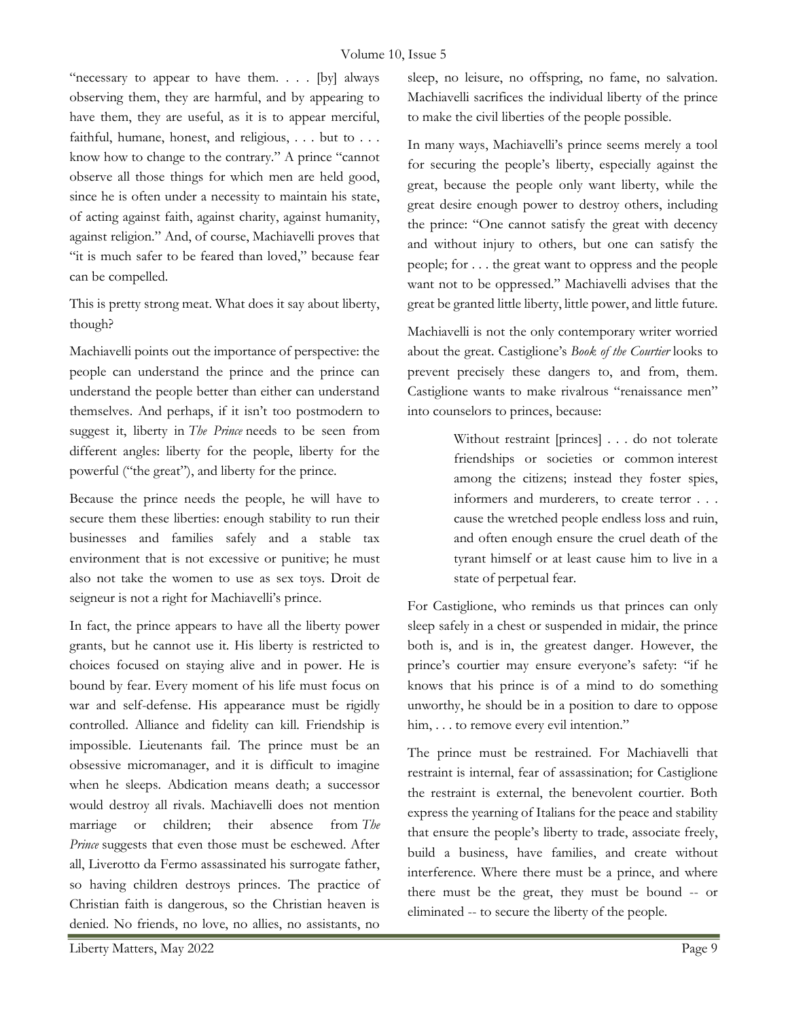"necessary to appear to have them. . . . [by] always observing them, they are harmful, and by appearing to have them, they are useful, as it is to appear merciful, faithful, humane, honest, and religious, . . . but to . . . know how to change to the contrary." A prince "cannot observe all those things for which men are held good, since he is often under a necessity to maintain his state, of acting against faith, against charity, against humanity, against religion." And, of course, Machiavelli proves that "it is much safer to be feared than loved," because fear can be compelled.

This is pretty strong meat. What does it say about liberty, though?

Machiavelli points out the importance of perspective: the people can understand the prince and the prince can understand the people better than either can understand themselves. And perhaps, if it isn't too postmodern to suggest it, liberty in The Prince needs to be seen from different angles: liberty for the people, liberty for the powerful ("the great"), and liberty for the prince.

Because the prince needs the people, he will have to secure them these liberties: enough stability to run their businesses and families safely and a stable tax environment that is not excessive or punitive; he must also not take the women to use as sex toys. Droit de seigneur is not a right for Machiavelli's prince.

In fact, the prince appears to have all the liberty power grants, but he cannot use it. His liberty is restricted to choices focused on staying alive and in power. He is bound by fear. Every moment of his life must focus on war and self-defense. His appearance must be rigidly controlled. Alliance and fidelity can kill. Friendship is impossible. Lieutenants fail. The prince must be an obsessive micromanager, and it is difficult to imagine when he sleeps. Abdication means death; a successor would destroy all rivals. Machiavelli does not mention marriage or children; their absence from The Prince suggests that even those must be eschewed. After all, Liverotto da Fermo assassinated his surrogate father, so having children destroys princes. The practice of Christian faith is dangerous, so the Christian heaven is denied. No friends, no love, no allies, no assistants, no

sleep, no leisure, no offspring, no fame, no salvation. Machiavelli sacrifices the individual liberty of the prince to make the civil liberties of the people possible.

In many ways, Machiavelli's prince seems merely a tool for securing the people's liberty, especially against the great, because the people only want liberty, while the great desire enough power to destroy others, including the prince: "One cannot satisfy the great with decency and without injury to others, but one can satisfy the people; for . . . the great want to oppress and the people want not to be oppressed." Machiavelli advises that the great be granted little liberty, little power, and little future.

Machiavelli is not the only contemporary writer worried about the great. Castiglione's Book of the Courtier looks to prevent precisely these dangers to, and from, them. Castiglione wants to make rivalrous "renaissance men" into counselors to princes, because:

> Without restraint [princes] . . . do not tolerate friendships or societies or common interest among the citizens; instead they foster spies, informers and murderers, to create terror . . . cause the wretched people endless loss and ruin, and often enough ensure the cruel death of the tyrant himself or at least cause him to live in a state of perpetual fear.

For Castiglione, who reminds us that princes can only sleep safely in a chest or suspended in midair, the prince both is, and is in, the greatest danger. However, the prince's courtier may ensure everyone's safety: "if he knows that his prince is of a mind to do something unworthy, he should be in a position to dare to oppose him, . . . to remove every evil intention."

The prince must be restrained. For Machiavelli that restraint is internal, fear of assassination; for Castiglione the restraint is external, the benevolent courtier. Both express the yearning of Italians for the peace and stability that ensure the people's liberty to trade, associate freely, build a business, have families, and create without interference. Where there must be a prince, and where there must be the great, they must be bound -- or eliminated -- to secure the liberty of the people.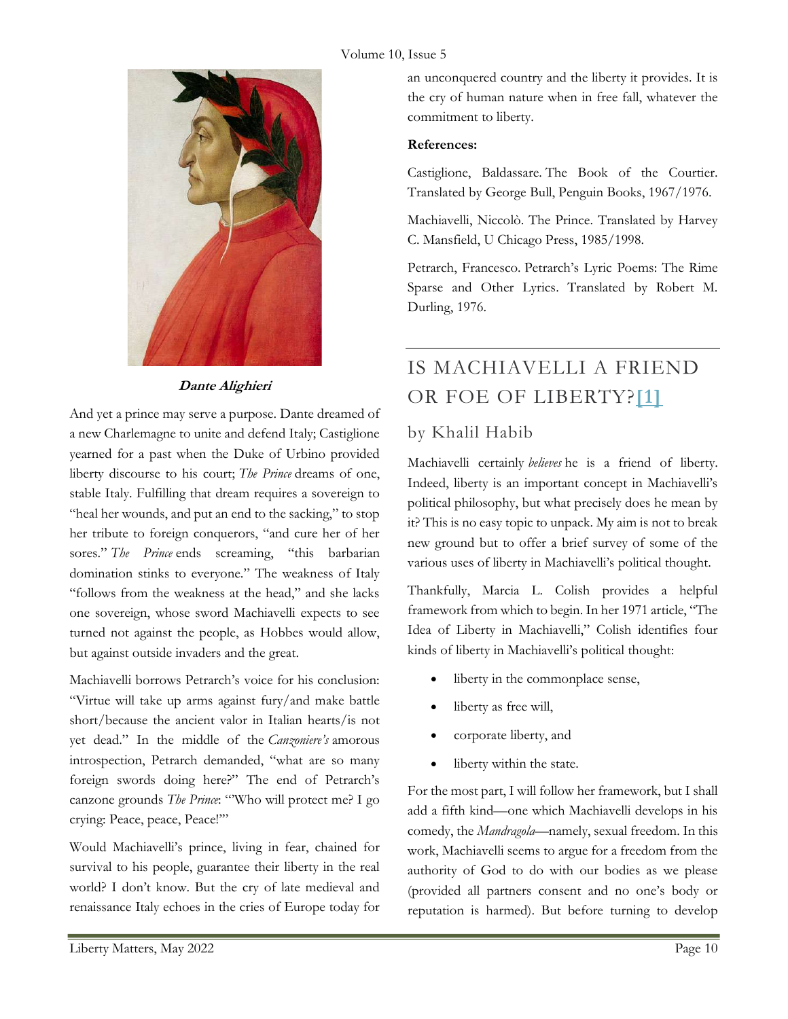#### Volume 10, Issue 5



### Dante Alighieri

And yet a prince may serve a purpose. Dante dreamed of a new Charlemagne to unite and defend Italy; Castiglione yearned for a past when the Duke of Urbino provided liberty discourse to his court; The Prince dreams of one, stable Italy. Fulfilling that dream requires a sovereign to "heal her wounds, and put an end to the sacking," to stop her tribute to foreign conquerors, "and cure her of her sores." The Prince ends screaming, "this barbarian domination stinks to everyone." The weakness of Italy "follows from the weakness at the head," and she lacks one sovereign, whose sword Machiavelli expects to see turned not against the people, as Hobbes would allow, but against outside invaders and the great.

Machiavelli borrows Petrarch's voice for his conclusion: "Virtue will take up arms against fury/and make battle short/because the ancient valor in Italian hearts/is not yet dead." In the middle of the Canzoniere's amorous introspection, Petrarch demanded, "what are so many foreign swords doing here?" The end of Petrarch's canzone grounds The Prince: "'Who will protect me? I go crying: Peace, peace, Peace!'"

Would Machiavelli's prince, living in fear, chained for survival to his people, guarantee their liberty in the real world? I don't know. But the cry of late medieval and renaissance Italy echoes in the cries of Europe today for

an unconquered country and the liberty it provides. It is the cry of human nature when in free fall, whatever the commitment to liberty.

#### References:

Castiglione, Baldassare. The Book of the Courtier. Translated by George Bull, Penguin Books, 1967/1976.

Machiavelli, Niccolò. The Prince. Translated by Harvey C. Mansfield, U Chicago Press, 1985/1998.

Petrarch, Francesco. Petrarch's Lyric Poems: The Rime Sparse and Other Lyrics. Translated by Robert M. Durling, 1976.

# IS MACHIAVELLI A FRIEND OR FOE OF LIBERTY?[1]

## by Khalil Habib

Machiavelli certainly believes he is a friend of liberty. Indeed, liberty is an important concept in Machiavelli's political philosophy, but what precisely does he mean by it? This is no easy topic to unpack. My aim is not to break new ground but to offer a brief survey of some of the various uses of liberty in Machiavelli's political thought.

Thankfully, Marcia L. Colish provides a helpful framework from which to begin. In her 1971 article, "The Idea of Liberty in Machiavelli," Colish identifies four kinds of liberty in Machiavelli's political thought:

- liberty in the commonplace sense,
- liberty as free will,
- corporate liberty, and
- liberty within the state.

For the most part, I will follow her framework, but I shall add a fifth kind—one which Machiavelli develops in his comedy, the Mandragola—namely, sexual freedom. In this work, Machiavelli seems to argue for a freedom from the authority of God to do with our bodies as we please (provided all partners consent and no one's body or reputation is harmed). But before turning to develop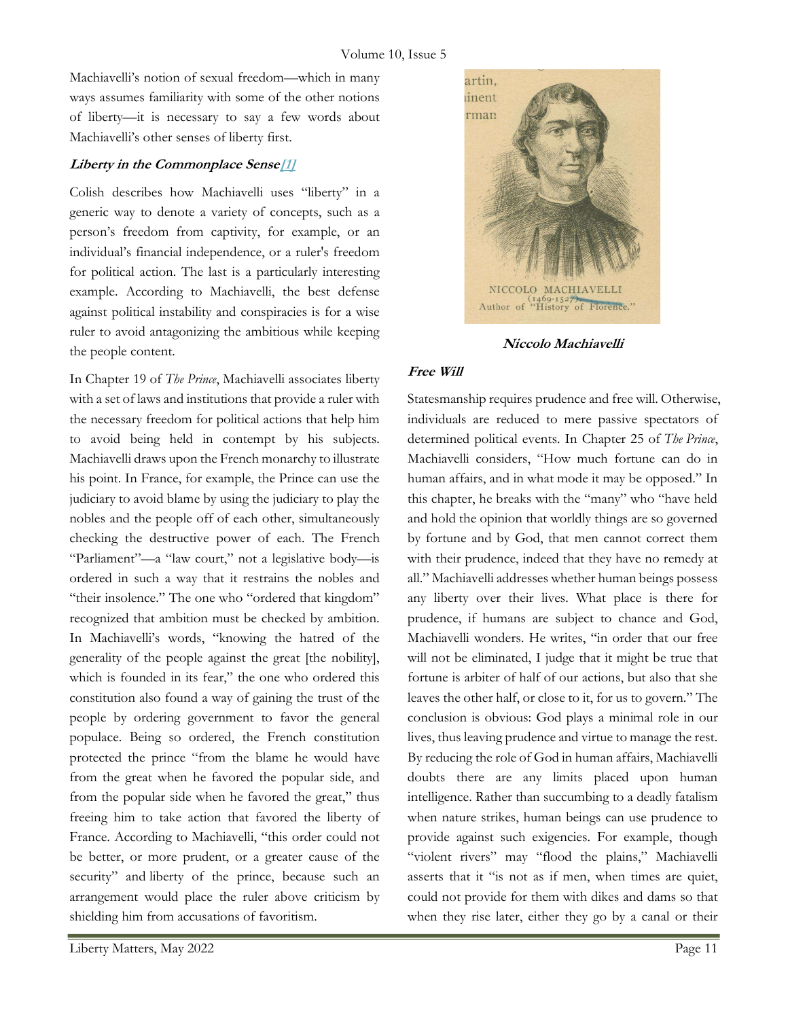Machiavelli's notion of sexual freedom—which in many ways assumes familiarity with some of the other notions of liberty—it is necessary to say a few words about Machiavelli's other senses of liberty first.

#### Liberty in the Commonplace Sense<sup>[1]</sup>

Colish describes how Machiavelli uses "liberty" in a generic way to denote a variety of concepts, such as a person's freedom from captivity, for example, or an individual's financial independence, or a ruler's freedom for political action. The last is a particularly interesting example. According to Machiavelli, the best defense against political instability and conspiracies is for a wise ruler to avoid antagonizing the ambitious while keeping the people content.

In Chapter 19 of The Prince, Machiavelli associates liberty with a set of laws and institutions that provide a ruler with the necessary freedom for political actions that help him to avoid being held in contempt by his subjects. Machiavelli draws upon the French monarchy to illustrate his point. In France, for example, the Prince can use the judiciary to avoid blame by using the judiciary to play the nobles and the people off of each other, simultaneously checking the destructive power of each. The French "Parliament"—a "law court," not a legislative body—is ordered in such a way that it restrains the nobles and "their insolence." The one who "ordered that kingdom" recognized that ambition must be checked by ambition. In Machiavelli's words, "knowing the hatred of the generality of the people against the great [the nobility], which is founded in its fear," the one who ordered this constitution also found a way of gaining the trust of the people by ordering government to favor the general populace. Being so ordered, the French constitution protected the prince "from the blame he would have from the great when he favored the popular side, and from the popular side when he favored the great," thus freeing him to take action that favored the liberty of France. According to Machiavelli, "this order could not be better, or more prudent, or a greater cause of the security" and liberty of the prince, because such an arrangement would place the ruler above criticism by shielding him from accusations of favoritism.



Niccolo Machiavelli

#### Free Will

Statesmanship requires prudence and free will. Otherwise, individuals are reduced to mere passive spectators of determined political events. In Chapter 25 of The Prince, Machiavelli considers, "How much fortune can do in human affairs, and in what mode it may be opposed." In this chapter, he breaks with the "many" who "have held and hold the opinion that worldly things are so governed by fortune and by God, that men cannot correct them with their prudence, indeed that they have no remedy at all." Machiavelli addresses whether human beings possess any liberty over their lives. What place is there for prudence, if humans are subject to chance and God, Machiavelli wonders. He writes, "in order that our free will not be eliminated, I judge that it might be true that fortune is arbiter of half of our actions, but also that she leaves the other half, or close to it, for us to govern." The conclusion is obvious: God plays a minimal role in our lives, thus leaving prudence and virtue to manage the rest. By reducing the role of God in human affairs, Machiavelli doubts there are any limits placed upon human intelligence. Rather than succumbing to a deadly fatalism when nature strikes, human beings can use prudence to provide against such exigencies. For example, though "violent rivers" may "flood the plains," Machiavelli asserts that it "is not as if men, when times are quiet, could not provide for them with dikes and dams so that when they rise later, either they go by a canal or their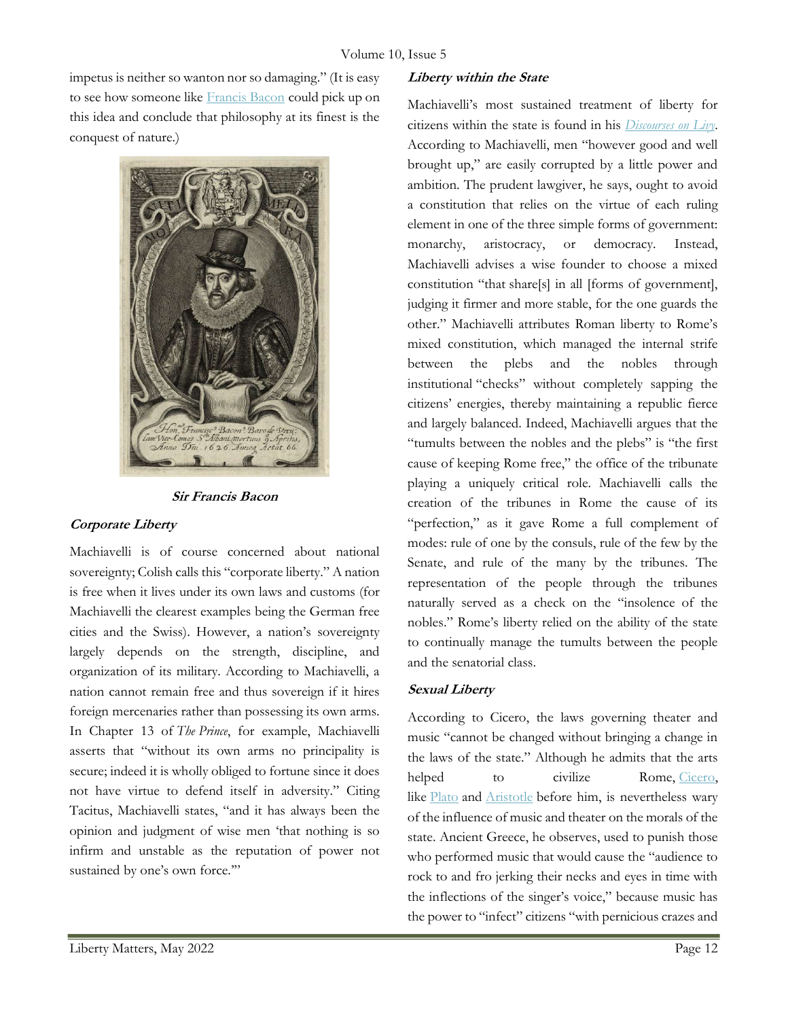impetus is neither so wanton nor so damaging." (It is easy to see how someone like Francis Bacon could pick up on this idea and conclude that philosophy at its finest is the conquest of nature.)



#### Sir Francis Bacon

#### Corporate Liberty

Machiavelli is of course concerned about national sovereignty; Colish calls this "corporate liberty." A nation is free when it lives under its own laws and customs (for Machiavelli the clearest examples being the German free cities and the Swiss). However, a nation's sovereignty largely depends on the strength, discipline, and organization of its military. According to Machiavelli, a nation cannot remain free and thus sovereign if it hires foreign mercenaries rather than possessing its own arms. In Chapter 13 of The Prince, for example, Machiavelli asserts that "without its own arms no principality is secure; indeed it is wholly obliged to fortune since it does not have virtue to defend itself in adversity." Citing Tacitus, Machiavelli states, "and it has always been the opinion and judgment of wise men 'that nothing is so infirm and unstable as the reputation of power not sustained by one's own force.""

#### Liberty within the State

Machiavelli's most sustained treatment of liberty for citizens within the state is found in his *Discourses on Livy*. According to Machiavelli, men "however good and well brought up," are easily corrupted by a little power and ambition. The prudent lawgiver, he says, ought to avoid a constitution that relies on the virtue of each ruling element in one of the three simple forms of government: monarchy, aristocracy, or democracy. Instead, Machiavelli advises a wise founder to choose a mixed constitution "that share[s] in all [forms of government], judging it firmer and more stable, for the one guards the other." Machiavelli attributes Roman liberty to Rome's mixed constitution, which managed the internal strife between the plebs and the nobles through institutional "checks" without completely sapping the citizens' energies, thereby maintaining a republic fierce and largely balanced. Indeed, Machiavelli argues that the "tumults between the nobles and the plebs" is "the first cause of keeping Rome free," the office of the tribunate playing a uniquely critical role. Machiavelli calls the creation of the tribunes in Rome the cause of its "perfection," as it gave Rome a full complement of modes: rule of one by the consuls, rule of the few by the Senate, and rule of the many by the tribunes. The representation of the people through the tribunes naturally served as a check on the "insolence of the nobles." Rome's liberty relied on the ability of the state to continually manage the tumults between the people and the senatorial class.

#### Sexual Liberty

According to Cicero, the laws governing theater and music "cannot be changed without bringing a change in the laws of the state." Although he admits that the arts helped to civilize Rome, Cicero, like Plato and Aristotle before him, is nevertheless wary of the influence of music and theater on the morals of the state. Ancient Greece, he observes, used to punish those who performed music that would cause the "audience to rock to and fro jerking their necks and eyes in time with the inflections of the singer's voice," because music has the power to "infect" citizens "with pernicious crazes and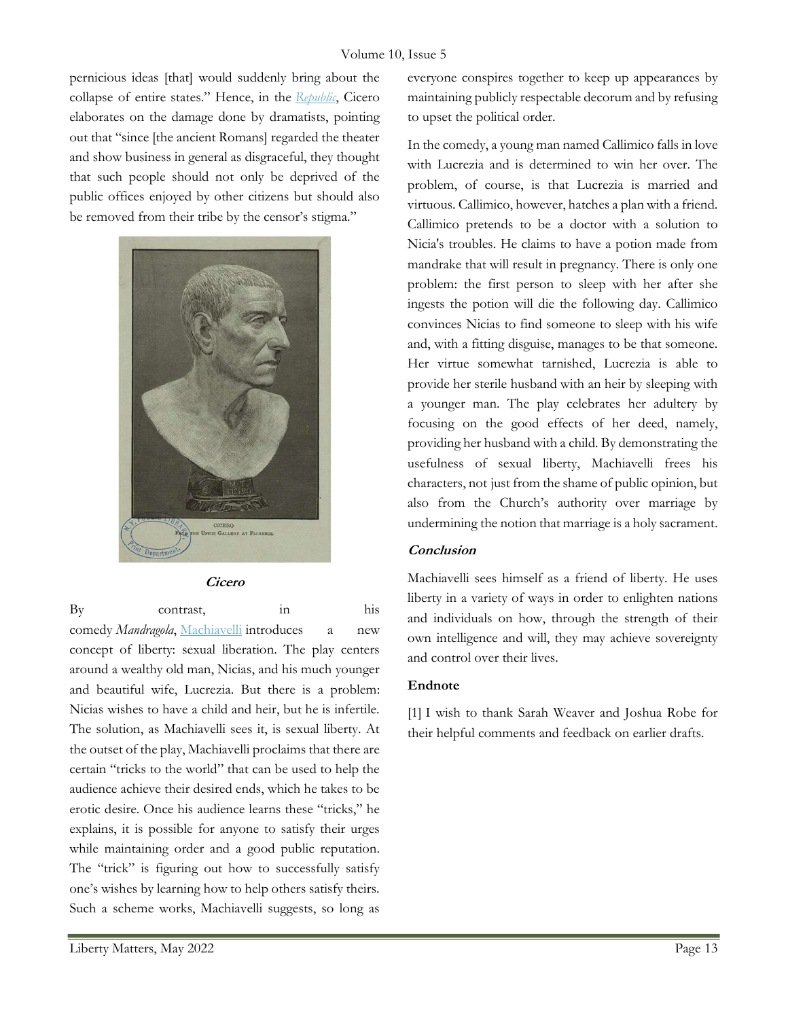pernicious ideas [that] would suddenly bring about the collapse of entire states." Hence, in the Republic, Cicero elaborates on the damage done by dramatists, pointing out that "since [the ancient Romans] regarded the theater and show business in general as disgraceful, they thought that such people should not only be deprived of the public offices enjoyed by other citizens but should also be removed from their tribe by the censor's stigma."



Cicero

By contrast, in his

comedy Mandragola, Machiavelli introduces a new concept of liberty: sexual liberation. The play centers around a wealthy old man, Nicias, and his much younger and beautiful wife, Lucrezia. But there is a problem: Nicias wishes to have a child and heir, but he is infertile. The solution, as Machiavelli sees it, is sexual liberty. At the outset of the play, Machiavelli proclaims that there are certain "tricks to the world" that can be used to help the audience achieve their desired ends, which he takes to be erotic desire. Once his audience learns these "tricks," he explains, it is possible for anyone to satisfy their urges while maintaining order and a good public reputation. The "trick" is figuring out how to successfully satisfy one's wishes by learning how to help others satisfy theirs. Such a scheme works, Machiavelli suggests, so long as In the comedy, a young man named Callimico falls in love with Lucrezia and is determined to win her over. The problem, of course, is that Lucrezia is married and virtuous. Callimico, however, hatches a plan with a friend. Callimico pretends to be a doctor with a solution to Nicia's troubles. He claims to have a potion made from mandrake that will result in pregnancy. There is only one problem: the first person to sleep with her after she ingests the potion will die the following day. Callimico convinces Nicias to find someone to sleep with his wife and, with a fitting disguise, manages to be that someone. Her virtue somewhat tarnished, Lucrezia is able to provide her sterile husband with an heir by sleeping with a younger man. The play celebrates her adultery by focusing on the good effects of her deed, namely, providing her husband with a child. By demonstrating the usefulness of sexual liberty, Machiavelli frees his characters, not just from the shame of public opinion, but also from the Church's authority over marriage by undermining the notion that marriage is a holy sacrament.

#### **Conclusion**

Machiavelli sees himself as a friend of liberty. He uses liberty in a variety of ways in order to enlighten nations and individuals on how, through the strength of their own intelligence and will, they may achieve sovereignty and control over their lives.

#### Endnote

[1] I wish to thank Sarah Weaver and Joshua Robe for their helpful comments and feedback on earlier drafts.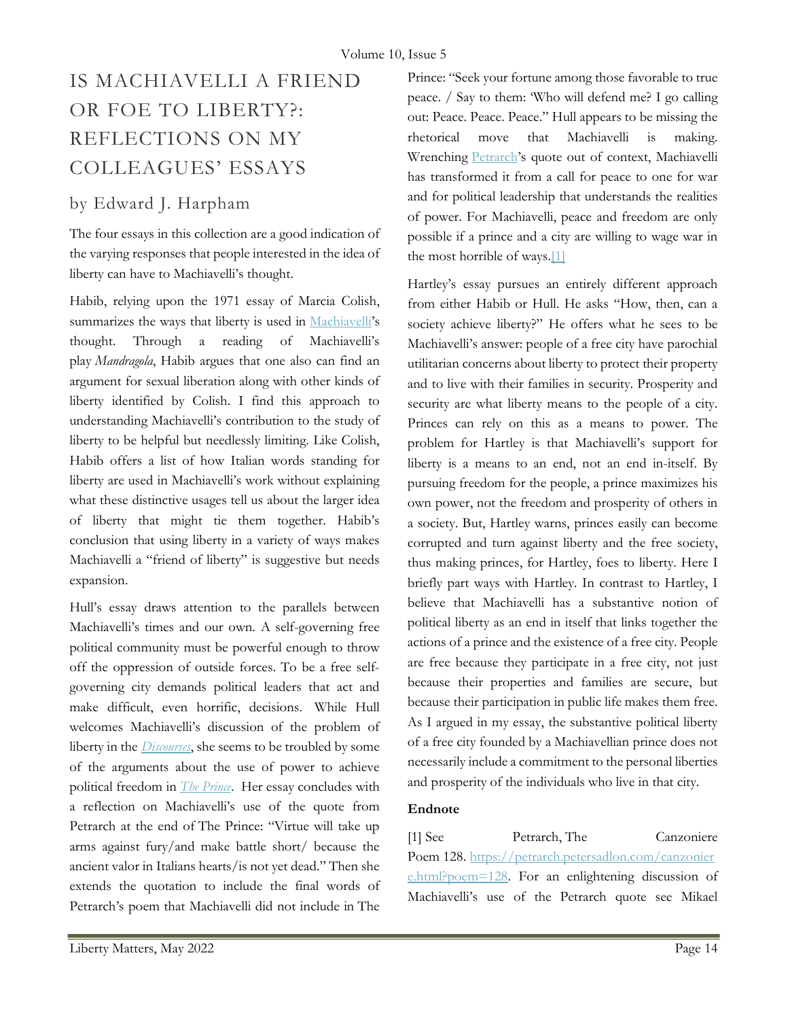# IS MACHIAVELLI A FRIEND OR FOE TO LIBERTY?: REFLECTIONS ON MY COLLEAGUES' ESSAYS

### by Edward J. Harpham

The four essays in this collection are a good indication of the varying responses that people interested in the idea of liberty can have to Machiavelli's thought.

Habib, relying upon the 1971 essay of Marcia Colish, summarizes the ways that liberty is used in Machiavelli's thought. Through a reading of Machiavelli's play Mandragola, Habib argues that one also can find an argument for sexual liberation along with other kinds of liberty identified by Colish. I find this approach to understanding Machiavelli's contribution to the study of liberty to be helpful but needlessly limiting. Like Colish, Habib offers a list of how Italian words standing for liberty are used in Machiavelli's work without explaining what these distinctive usages tell us about the larger idea of liberty that might tie them together. Habib's conclusion that using liberty in a variety of ways makes Machiavelli a "friend of liberty" is suggestive but needs expansion.

Hull's essay draws attention to the parallels between Machiavelli's times and our own. A self-governing free political community must be powerful enough to throw off the oppression of outside forces. To be a free selfgoverning city demands political leaders that act and make difficult, even horrific, decisions. While Hull welcomes Machiavelli's discussion of the problem of liberty in the *Discourses*, she seems to be troubled by some of the arguments about the use of power to achieve political freedom in *The Prince*. Her essay concludes with a reflection on Machiavelli's use of the quote from Petrarch at the end of The Prince: "Virtue will take up arms against fury/and make battle short/ because the ancient valor in Italians hearts/is not yet dead." Then she extends the quotation to include the final words of Petrarch's poem that Machiavelli did not include in The

Prince: "Seek your fortune among those favorable to true peace. / Say to them: 'Who will defend me? I go calling out: Peace. Peace. Peace." Hull appears to be missing the rhetorical move that Machiavelli is making. Wrenching Petrarch's quote out of context, Machiavelli has transformed it from a call for peace to one for war and for political leadership that understands the realities of power. For Machiavelli, peace and freedom are only possible if a prince and a city are willing to wage war in the most horrible of ways.[1]

Hartley's essay pursues an entirely different approach from either Habib or Hull. He asks "How, then, can a society achieve liberty?" He offers what he sees to be Machiavelli's answer: people of a free city have parochial utilitarian concerns about liberty to protect their property and to live with their families in security. Prosperity and security are what liberty means to the people of a city. Princes can rely on this as a means to power. The problem for Hartley is that Machiavelli's support for liberty is a means to an end, not an end in-itself. By pursuing freedom for the people, a prince maximizes his own power, not the freedom and prosperity of others in a society. But, Hartley warns, princes easily can become corrupted and turn against liberty and the free society, thus making princes, for Hartley, foes to liberty. Here I briefly part ways with Hartley. In contrast to Hartley, I believe that Machiavelli has a substantive notion of political liberty as an end in itself that links together the actions of a prince and the existence of a free city. People are free because they participate in a free city, not just because their properties and families are secure, but because their participation in public life makes them free. As I argued in my essay, the substantive political liberty of a free city founded by a Machiavellian prince does not necessarily include a commitment to the personal liberties and prosperity of the individuals who live in that city.

#### Endnote

[1] See Petrarch, The Canzoniere Poem 128. https://petrarch.petersadlon.com/canzonier e.html?poem=128. For an enlightening discussion of Machiavelli's use of the Petrarch quote see Mikael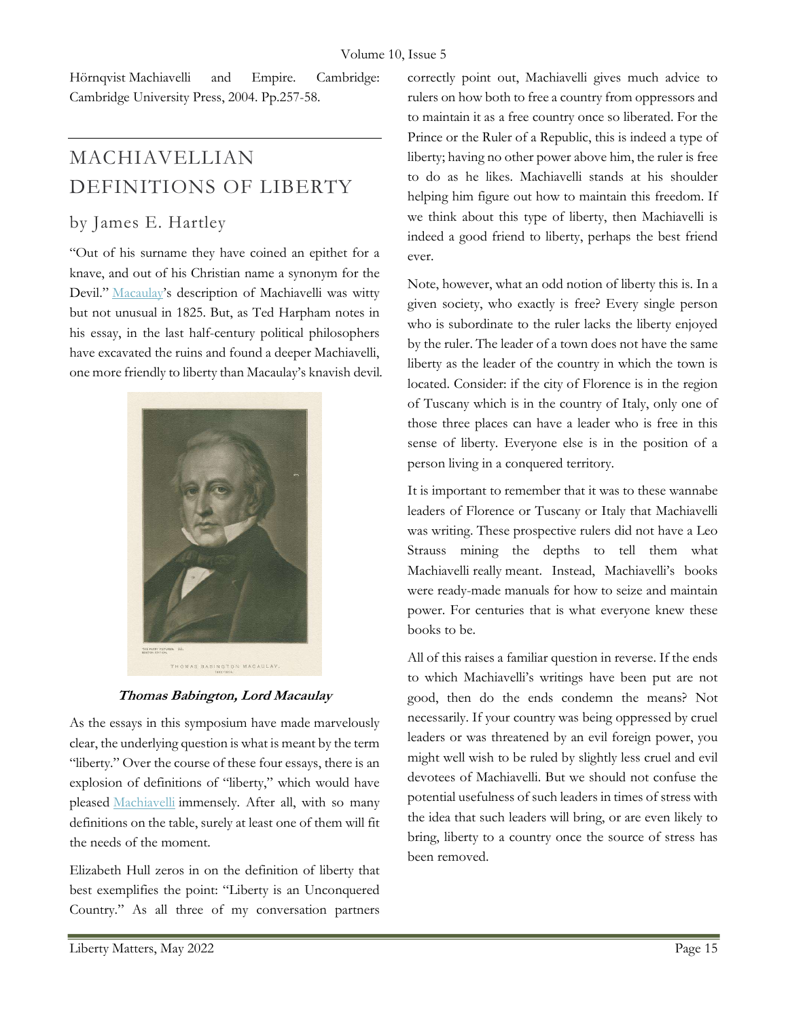Hörnqvist Machiavelli and Empire. Cambridge: Cambridge University Press, 2004. Pp.257-58.

# MACHIAVELLIAN DEFINITIONS OF LIBERTY

### by James E. Hartley

"Out of his surname they have coined an epithet for a knave, and out of his Christian name a synonym for the Devil." Macaulay's description of Machiavelli was witty but not unusual in 1825. But, as Ted Harpham notes in his essay, in the last half-century political philosophers have excavated the ruins and found a deeper Machiavelli, one more friendly to liberty than Macaulay's knavish devil.



Thomas Babington, Lord Macaulay

As the essays in this symposium have made marvelously clear, the underlying question is what is meant by the term "liberty." Over the course of these four essays, there is an explosion of definitions of "liberty," which would have pleased Machiavelli immensely. After all, with so many definitions on the table, surely at least one of them will fit the needs of the moment.

Elizabeth Hull zeros in on the definition of liberty that best exemplifies the point: "Liberty is an Unconquered Country." As all three of my conversation partners correctly point out, Machiavelli gives much advice to rulers on how both to free a country from oppressors and to maintain it as a free country once so liberated. For the Prince or the Ruler of a Republic, this is indeed a type of liberty; having no other power above him, the ruler is free to do as he likes. Machiavelli stands at his shoulder helping him figure out how to maintain this freedom. If we think about this type of liberty, then Machiavelli is indeed a good friend to liberty, perhaps the best friend ever.

Note, however, what an odd notion of liberty this is. In a given society, who exactly is free? Every single person who is subordinate to the ruler lacks the liberty enjoyed by the ruler. The leader of a town does not have the same liberty as the leader of the country in which the town is located. Consider: if the city of Florence is in the region of Tuscany which is in the country of Italy, only one of those three places can have a leader who is free in this sense of liberty. Everyone else is in the position of a person living in a conquered territory.

It is important to remember that it was to these wannabe leaders of Florence or Tuscany or Italy that Machiavelli was writing. These prospective rulers did not have a Leo Strauss mining the depths to tell them what Machiavelli really meant. Instead, Machiavelli's books were ready-made manuals for how to seize and maintain power. For centuries that is what everyone knew these books to be.

All of this raises a familiar question in reverse. If the ends to which Machiavelli's writings have been put are not good, then do the ends condemn the means? Not necessarily. If your country was being oppressed by cruel leaders or was threatened by an evil foreign power, you might well wish to be ruled by slightly less cruel and evil devotees of Machiavelli. But we should not confuse the potential usefulness of such leaders in times of stress with the idea that such leaders will bring, or are even likely to bring, liberty to a country once the source of stress has been removed.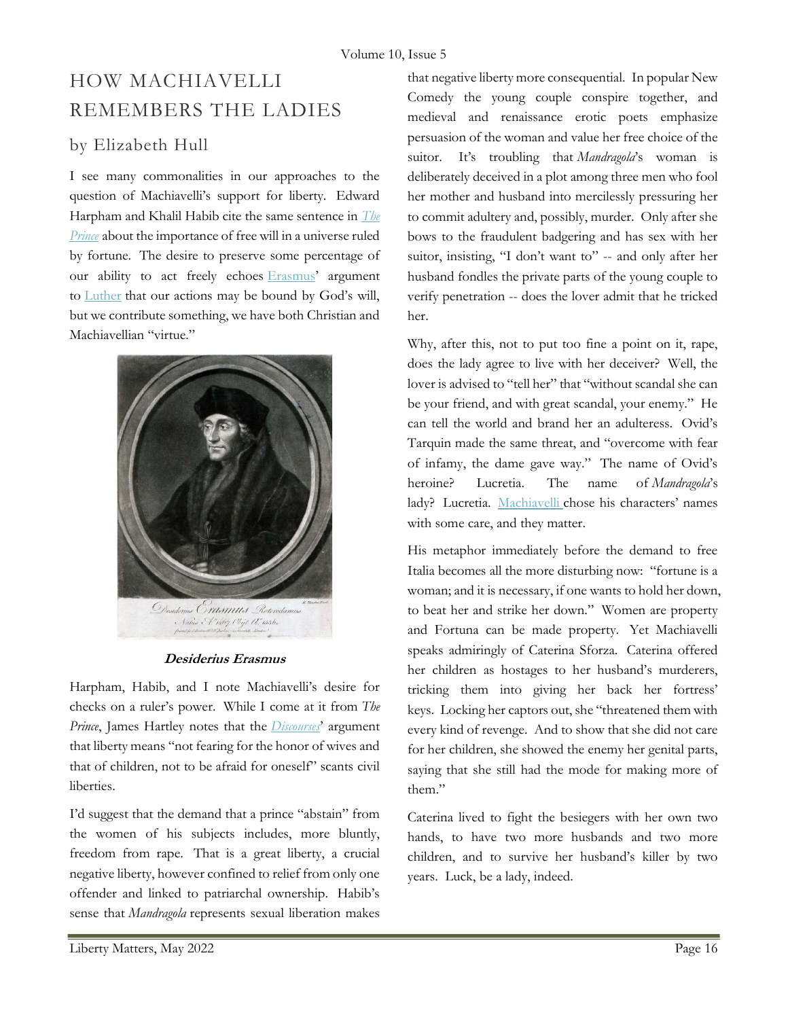## HOW MACHIAVELLI REMEMBERS THE LADIES

### by Elizabeth Hull

I see many commonalities in our approaches to the question of Machiavelli's support for liberty. Edward Harpham and Khalil Habib cite the same sentence in The **Prince** about the importance of free will in a universe ruled by fortune. The desire to preserve some percentage of our ability to act freely echoes Erasmus' argument to Luther that our actions may be bound by God's will, but we contribute something, we have both Christian and Machiavellian "virtue."



#### Desiderius Erasmus

Harpham, Habib, and I note Machiavelli's desire for checks on a ruler's power. While I come at it from The Prince, James Hartley notes that the *Discourses*' argument that liberty means "not fearing for the honor of wives and that of children, not to be afraid for oneself" scants civil liberties.

I'd suggest that the demand that a prince "abstain" from the women of his subjects includes, more bluntly, freedom from rape. That is a great liberty, a crucial negative liberty, however confined to relief from only one offender and linked to patriarchal ownership. Habib's sense that Mandragola represents sexual liberation makes

that negative liberty more consequential. In popular New Comedy the young couple conspire together, and medieval and renaissance erotic poets emphasize persuasion of the woman and value her free choice of the suitor. It's troubling that Mandragola's woman is deliberately deceived in a plot among three men who fool her mother and husband into mercilessly pressuring her to commit adultery and, possibly, murder. Only after she bows to the fraudulent badgering and has sex with her suitor, insisting, "I don't want to" -- and only after her husband fondles the private parts of the young couple to verify penetration -- does the lover admit that he tricked her.

Why, after this, not to put too fine a point on it, rape, does the lady agree to live with her deceiver? Well, the lover is advised to "tell her" that "without scandal she can be your friend, and with great scandal, your enemy." He can tell the world and brand her an adulteress. Ovid's Tarquin made the same threat, and "overcome with fear of infamy, the dame gave way." The name of Ovid's heroine? Lucretia. The name of Mandragola's lady? Lucretia. Machiavelli chose his characters' names with some care, and they matter.

His metaphor immediately before the demand to free Italia becomes all the more disturbing now: "fortune is a woman; and it is necessary, if one wants to hold her down, to beat her and strike her down." Women are property and Fortuna can be made property. Yet Machiavelli speaks admiringly of Caterina Sforza. Caterina offered her children as hostages to her husband's murderers, tricking them into giving her back her fortress' keys. Locking her captors out, she "threatened them with every kind of revenge. And to show that she did not care for her children, she showed the enemy her genital parts, saying that she still had the mode for making more of them."

Caterina lived to fight the besiegers with her own two hands, to have two more husbands and two more children, and to survive her husband's killer by two years. Luck, be a lady, indeed.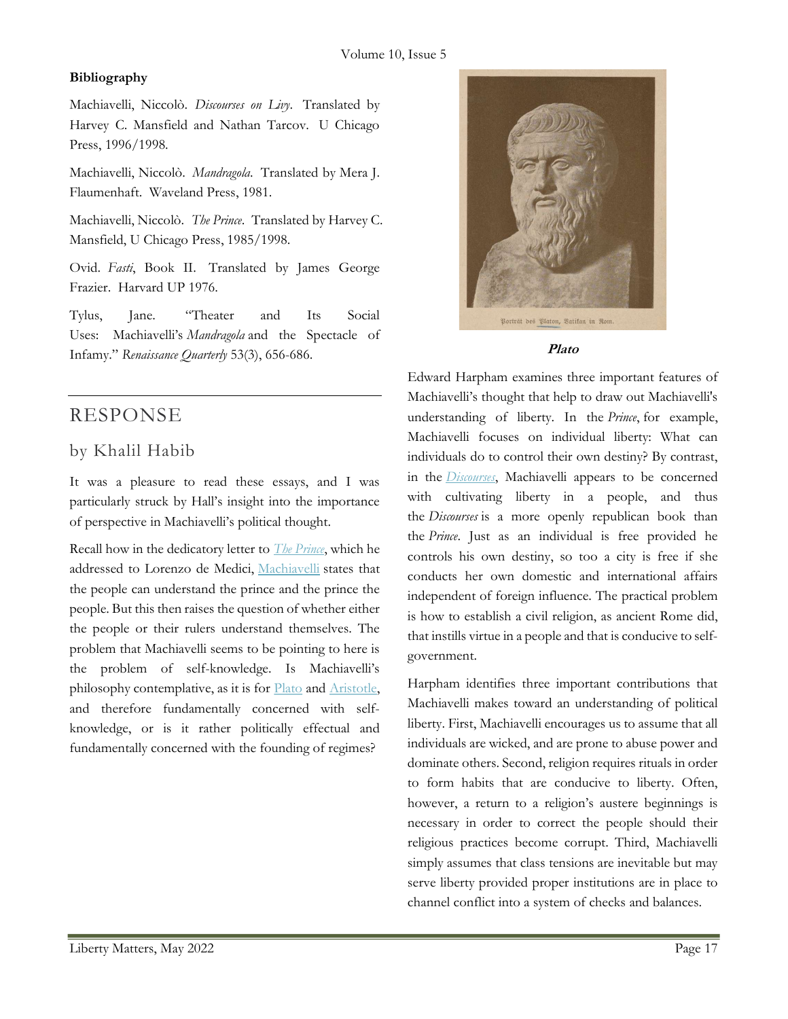#### Bibliography

Machiavelli, Niccolò. Discourses on Livy. Translated by Harvey C. Mansfield and Nathan Tarcov. U Chicago Press, 1996/1998.

Machiavelli, Niccolò. Mandragola. Translated by Mera J. Flaumenhaft. Waveland Press, 1981.

Machiavelli, Niccolò. The Prince. Translated by Harvey C. Mansfield, U Chicago Press, 1985/1998.

Ovid. Fasti, Book II. Translated by James George Frazier. Harvard UP 1976.

Tylus, Jane. "Theater and Its Social Uses: Machiavelli's Mandragola and the Spectacle of Infamy." Renaissance Quarterly 53(3), 656-686.

## RESPONSE

### by Khalil Habib

It was a pleasure to read these essays, and I was particularly struck by Hall's insight into the importance of perspective in Machiavelli's political thought.

Recall how in the dedicatory letter to *The Prince*, which he addressed to Lorenzo de Medici, Machiavelli states that the people can understand the prince and the prince the people. But this then raises the question of whether either the people or their rulers understand themselves. The problem that Machiavelli seems to be pointing to here is the problem of self-knowledge. Is Machiavelli's philosophy contemplative, as it is for Plato and Aristotle, and therefore fundamentally concerned with selfknowledge, or is it rather politically effectual and fundamentally concerned with the founding of regimes?



#### Plato

Edward Harpham examines three important features of Machiavelli's thought that help to draw out Machiavelli's understanding of liberty. In the Prince, for example, Machiavelli focuses on individual liberty: What can individuals do to control their own destiny? By contrast, in the *Discourses*, Machiavelli appears to be concerned with cultivating liberty in a people, and thus the Discourses is a more openly republican book than the Prince. Just as an individual is free provided he controls his own destiny, so too a city is free if she conducts her own domestic and international affairs independent of foreign influence. The practical problem is how to establish a civil religion, as ancient Rome did, that instills virtue in a people and that is conducive to selfgovernment.

Harpham identifies three important contributions that Machiavelli makes toward an understanding of political liberty. First, Machiavelli encourages us to assume that all individuals are wicked, and are prone to abuse power and dominate others. Second, religion requires rituals in order to form habits that are conducive to liberty. Often, however, a return to a religion's austere beginnings is necessary in order to correct the people should their religious practices become corrupt. Third, Machiavelli simply assumes that class tensions are inevitable but may serve liberty provided proper institutions are in place to channel conflict into a system of checks and balances.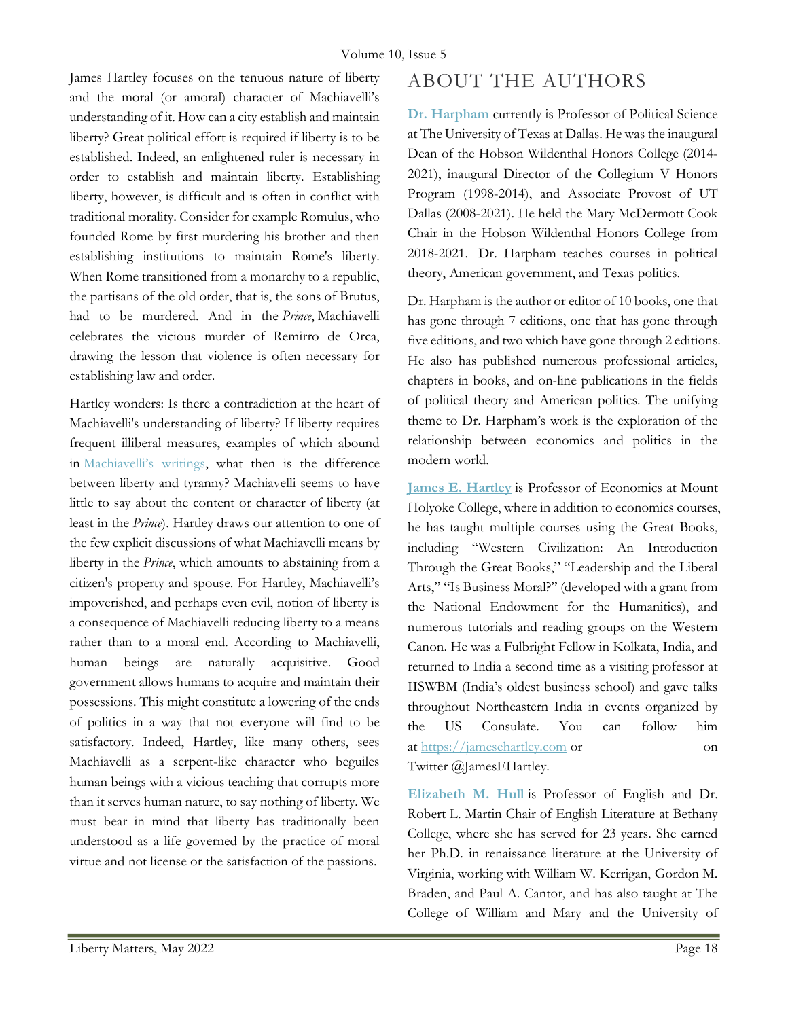James Hartley focuses on the tenuous nature of liberty and the moral (or amoral) character of Machiavelli's understanding of it. How can a city establish and maintain liberty? Great political effort is required if liberty is to be established. Indeed, an enlightened ruler is necessary in order to establish and maintain liberty. Establishing liberty, however, is difficult and is often in conflict with traditional morality. Consider for example Romulus, who founded Rome by first murdering his brother and then establishing institutions to maintain Rome's liberty. When Rome transitioned from a monarchy to a republic, the partisans of the old order, that is, the sons of Brutus, had to be murdered. And in the Prince, Machiavelli celebrates the vicious murder of Remirro de Orca, drawing the lesson that violence is often necessary for establishing law and order.

Hartley wonders: Is there a contradiction at the heart of Machiavelli's understanding of liberty? If liberty requires frequent illiberal measures, examples of which abound in Machiavelli's writings, what then is the difference between liberty and tyranny? Machiavelli seems to have little to say about the content or character of liberty (at least in the Prince). Hartley draws our attention to one of the few explicit discussions of what Machiavelli means by liberty in the Prince, which amounts to abstaining from a citizen's property and spouse. For Hartley, Machiavelli's impoverished, and perhaps even evil, notion of liberty is a consequence of Machiavelli reducing liberty to a means rather than to a moral end. According to Machiavelli, human beings are naturally acquisitive. Good government allows humans to acquire and maintain their possessions. This might constitute a lowering of the ends of politics in a way that not everyone will find to be satisfactory. Indeed, Hartley, like many others, sees Machiavelli as a serpent-like character who beguiles human beings with a vicious teaching that corrupts more than it serves human nature, to say nothing of liberty. We must bear in mind that liberty has traditionally been understood as a life governed by the practice of moral virtue and not license or the satisfaction of the passions.

## ABOUT THE AUTHORS

Dr. Harpham currently is Professor of Political Science at The University of Texas at Dallas. He was the inaugural Dean of the Hobson Wildenthal Honors College (2014- 2021), inaugural Director of the Collegium V Honors Program (1998-2014), and Associate Provost of UT Dallas (2008-2021). He held the Mary McDermott Cook Chair in the Hobson Wildenthal Honors College from 2018-2021. Dr. Harpham teaches courses in political theory, American government, and Texas politics.

Dr. Harpham is the author or editor of 10 books, one that has gone through 7 editions, one that has gone through five editions, and two which have gone through 2 editions. He also has published numerous professional articles, chapters in books, and on-line publications in the fields of political theory and American politics. The unifying theme to Dr. Harpham's work is the exploration of the relationship between economics and politics in the modern world.

James E. Hartley is Professor of Economics at Mount Holyoke College, where in addition to economics courses, he has taught multiple courses using the Great Books, including "Western Civilization: An Introduction Through the Great Books," "Leadership and the Liberal Arts," "Is Business Moral?" (developed with a grant from the National Endowment for the Humanities), and numerous tutorials and reading groups on the Western Canon. He was a Fulbright Fellow in Kolkata, India, and returned to India a second time as a visiting professor at IISWBM (India's oldest business school) and gave talks throughout Northeastern India in events organized by the US Consulate. You can follow him at https://jamesehartley.com or on Twitter @JamesEHartley.

Elizabeth M. Hull is Professor of English and Dr. Robert L. Martin Chair of English Literature at Bethany College, where she has served for 23 years. She earned her Ph.D. in renaissance literature at the University of Virginia, working with William W. Kerrigan, Gordon M. Braden, and Paul A. Cantor, and has also taught at The College of William and Mary and the University of